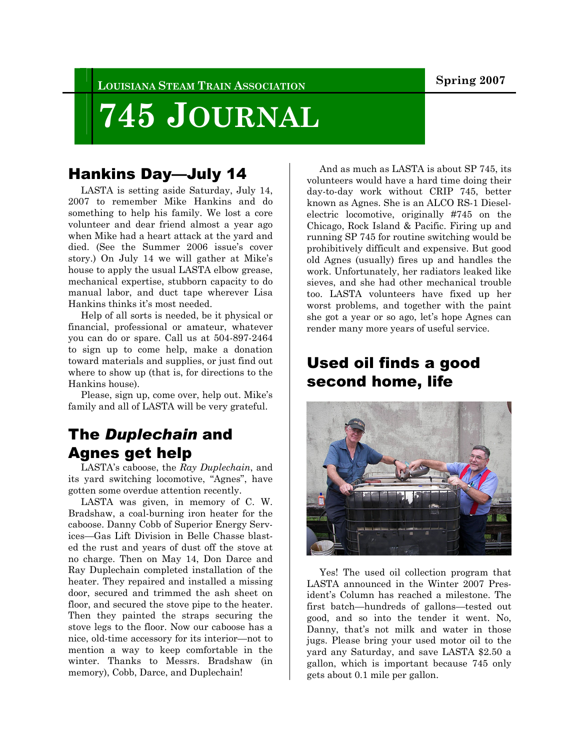**LOUISIANA STEAM TRAIN ASSOCIATION Spring 2007** 

# **745 JOURNAL**

#### Hankins Day—July 14

 LASTA is setting aside Saturday, July 14, 2007 to remember Mike Hankins and do something to help his family. We lost a core volunteer and dear friend almost a year ago when Mike had a heart attack at the yard and died. (See the Summer 2006 issue's cover story.) On July 14 we will gather at Mike's house to apply the usual LASTA elbow grease, mechanical expertise, stubborn capacity to do manual labor, and duct tape wherever Lisa Hankins thinks it's most needed.

 Help of all sorts is needed, be it physical or financial, professional or amateur, whatever you can do or spare. Call us at 504-897-2464 to sign up to come help, make a donation toward materials and supplies, or just find out where to show up (that is, for directions to the Hankins house).

 Please, sign up, come over, help out. Mike's family and all of LASTA will be very grateful.

#### The *Duplechain* and Agnes get help

 LASTA's caboose, the *Ray Duplechain*, and its yard switching locomotive, "Agnes", have gotten some overdue attention recently.

 LASTA was given, in memory of C. W. Bradshaw, a coal-burning iron heater for the caboose. Danny Cobb of Superior Energy Services—Gas Lift Division in Belle Chasse blasted the rust and years of dust off the stove at no charge. Then on May 14, Don Darce and Ray Duplechain completed installation of the heater. They repaired and installed a missing door, secured and trimmed the ash sheet on floor, and secured the stove pipe to the heater. Then they painted the straps securing the stove legs to the floor. Now our caboose has a nice, old-time accessory for its interior—not to mention a way to keep comfortable in the winter. Thanks to Messrs. Bradshaw (in memory), Cobb, Darce, and Duplechain!

 And as much as LASTA is about SP 745, its volunteers would have a hard time doing their day-to-day work without CRIP 745, better known as Agnes. She is an ALCO RS-1 Dieselelectric locomotive, originally #745 on the Chicago, Rock Island & Pacific. Firing up and running SP 745 for routine switching would be prohibitively difficult and expensive. But good old Agnes (usually) fires up and handles the work. Unfortunately, her radiators leaked like sieves, and she had other mechanical trouble too. LASTA volunteers have fixed up her worst problems, and together with the paint she got a year or so ago, let's hope Agnes can render many more years of useful service.

### Used oil finds a good second home, life



 Yes! The used oil collection program that LASTA announced in the Winter 2007 President's Column has reached a milestone. The first batch—hundreds of gallons—tested out good, and so into the tender it went. No, Danny, that's not milk and water in those jugs. Please bring your used motor oil to the yard any Saturday, and save LASTA \$2.50 a gallon, which is important because 745 only gets about 0.1 mile per gallon.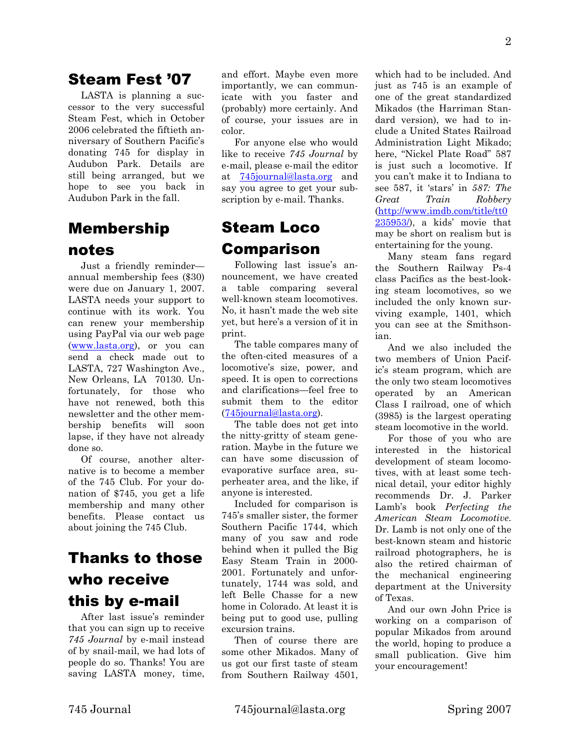#### Steam Fest '07

 LASTA is planning a successor to the very successful Steam Fest, which in October 2006 celebrated the fiftieth anniversary of Southern Pacific's donating 745 for display in Audubon Park. Details are still being arranged, but we hope to see you back in Audubon Park in the fall.

#### Membership notes

 Just a friendly reminder annual membership fees (\$30) were due on January 1, 2007. LASTA needs your support to continue with its work. You can renew your membership using PayPal via our web page (www.lasta.org), or you can send a check made out to LASTA, 727 Washington Ave., New Orleans, LA 70130. Unfortunately, for those who have not renewed, both this newsletter and the other membership benefits will soon lapse, if they have not already done so.

 Of course, another alternative is to become a member of the 745 Club. For your donation of \$745, you get a life membership and many other benefits. Please contact us about joining the 745 Club.

# Thanks to those who receive this by e-mail

 After last issue's reminder that you can sign up to receive *745 Journal* by e-mail instead of by snail-mail, we had lots of people do so. Thanks! You are saving LASTA money, time, and effort. Maybe even more importantly, we can communicate with you faster and (probably) more certainly. And of course, your issues are in color.

 For anyone else who would like to receive *745 Journal* by e-mail, please e-mail the editor at 745journal@lasta.org and say you agree to get your subscription by e-mail. Thanks.

## Steam Loco Comparison

 Following last issue's announcement, we have created a table comparing several well-known steam locomotives. No, it hasn't made the web site yet, but here's a version of it in print.

 The table compares many of the often-cited measures of a locomotive's size, power, and speed. It is open to corrections and clarifications—feel free to submit them to the editor (745journal@lasta.org).

 The table does not get into the nitty-gritty of steam generation. Maybe in the future we can have some discussion of evaporative surface area, superheater area, and the like, if anyone is interested.

 Included for comparison is 745's smaller sister, the former Southern Pacific 1744, which many of you saw and rode behind when it pulled the Big Easy Steam Train in 2000- 2001. Fortunately and unfortunately, 1744 was sold, and left Belle Chasse for a new home in Colorado. At least it is being put to good use, pulling excursion trains.

 Then of course there are some other Mikados. Many of us got our first taste of steam from Southern Railway 4501,

which had to be included. And just as 745 is an example of one of the great standardized Mikados (the Harriman Standard version), we had to include a United States Railroad Administration Light Mikado; here, "Nickel Plate Road" 587 is just such a locomotive. If you can't make it to Indiana to see 587, it 'stars' in *587: The Great Train Robbery* (http://www.imdb.com/title/tt0  $235953/$ , a kids' movie that may be short on realism but is entertaining for the young.

 Many steam fans regard the Southern Railway Ps-4 class Pacifics as the best-looking steam locomotives, so we included the only known surviving example, 1401, which you can see at the Smithsonian.

 And we also included the two members of Union Pacific's steam program, which are the only two steam locomotives operated by an American Class I railroad, one of which (3985) is the largest operating steam locomotive in the world.

 For those of you who are interested in the historical development of steam locomotives, with at least some technical detail, your editor highly recommends Dr. J. Parker Lamb's book *Perfecting the American Steam Locomotive*. Dr. Lamb is not only one of the best-known steam and historic railroad photographers, he is also the retired chairman of the mechanical engineering department at the University of Texas.

 And our own John Price is working on a comparison of popular Mikados from around the world, hoping to produce a small publication. Give him your encouragement!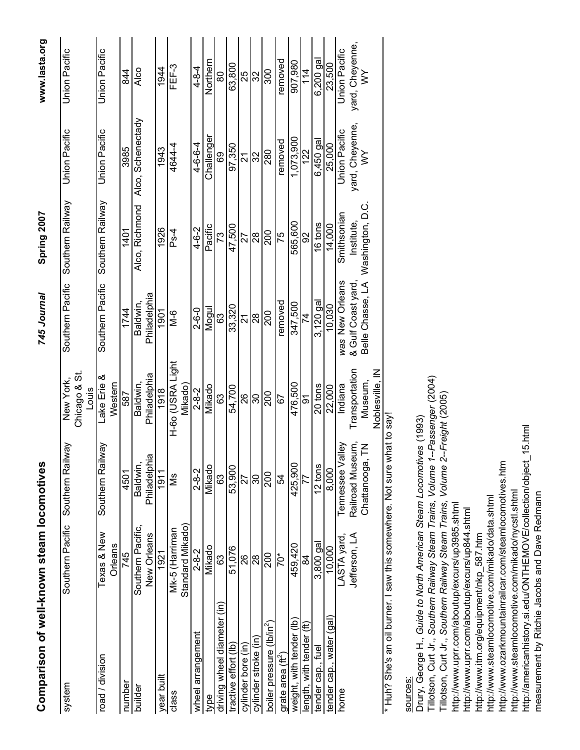| Comparison of well-known steam locomotives |                                   |                          |                                     | 745 Journal                       | Spring 2007      |                      | www.lasta.org        |
|--------------------------------------------|-----------------------------------|--------------------------|-------------------------------------|-----------------------------------|------------------|----------------------|----------------------|
| system                                     | Southern Pacific                  | Vew<br>Southern Rai      | Chicago & St.<br>New York,<br>Louis | Southern Pacific                  | Southern Railway | Union Pacific        | Union Pacific        |
| road / division                            | Texas & New<br>Orleans            | Nav<br>Southern Rai      | Lake Erie &<br>Western              | Southern Pacific                  | Southern Railway | <b>Union Pacific</b> | Union Pacific        |
| number                                     | 745                               | 4501                     | 587                                 | 1744                              | 1401             | 3985                 | 844                  |
| builder                                    | Southern Pacific,<br>New Orleans  | Philadelphia<br>Baldwin, | Philadelphia<br>Baldwin,            | Philadelphia<br>Baldwin,          | Alco, Richmond   | Alco, Schenectady    | Alco                 |
| year built                                 | 1921                              | 1911                     | 1918                                | 1901                              | 1926             | 1943                 | 1944                 |
| class                                      | Standard Mikado<br>Mk-5 (Harriman | ŠΜ                       | H-60 (USRA Light<br>Mikado)         | 9-⊠<br>M                          | Ps-4             | 4644-4               | FEF-3                |
| wheel arrangement                          | $2 - 8 - 2$                       | $2 - 8 - 2$              | $2 - 8 - 2$                         | $2 - 6 - 0$                       | 4-6-2            | $4 - 6 - 6 - 4$      | $4 - 8 - 4$          |
| type                                       | Mikado                            | Mikado                   | Mikado                              | Nogu                              | Pacific          | Challenger           | Northern             |
| driving wheel diameter (in)                | යි                                | 63                       | 63                                  | 63                                | 73               | 89                   | 80                   |
| tractive effort (lb)                       | 51,076                            | 53,900                   | 54,700                              | 33,320                            | 47,500           | 97,350               | 63,800               |
| cylinder bore (in)                         | 8                                 | 27                       | 26                                  | Z                                 | 27               | ম                    | $\frac{5}{2}$        |
| cylinder stroke (in                        | 28                                | 80                       | 30                                  | 28                                | 28               | 32                   | 32                   |
| boiler pressure (lb/in <sup>2</sup> )      | 200                               | 200                      | 200                                 | 200                               | 200              | 280                  | 300                  |
| grate area $(\text{ft}^2)$                 | $70*$                             | 54                       | 67                                  | removed                           | 75               | removed              | removed              |
| weight, with tender (lb)                   | 459,420                           | 425,900                  | 476.500                             | 347,500                           | 565,600          | 1,073,900            | 907.980              |
| length, with tender (ft)                   | 84                                | 77                       | 5                                   | 74                                | 92               | 122                  | 11 <sub>4</sub>      |
| tender cap., fuel                          | 3.800 gal                         | 12 tons                  | 20 tons                             | 3,120 gal                         | 16 tons          | 6,450 gal            | 6.200 gal            |
| tender cap., water (gal                    | 10,000                            | 8,000                    | 22,000                              | 10,030                            | 14,000           | 25,000               | 23,500               |
| home                                       | ASTA yard,                        | alley<br>Tennessee V     | Indiana                             | was New Orleans                   | Smithsonian      | <b>Union Pacific</b> | <b>Union Pacific</b> |
|                                            | Jefferson, LA                     | Railroad Museum,         | Transportation                      | & Gulf Coast yard,                | Institute,       | yard, Cheyenne,      | yard, Cheyenne,      |
|                                            |                                   | $\zeta$<br>Chattanooga   | Museum,                             | Belle Chasse, LA Washington, D.C. |                  | ⋚                    | ⋚                    |
|                                            |                                   |                          | <b>ZI</b> é, lle, l                 |                                   |                  |                      |                      |
|                                            |                                   |                          |                                     |                                   |                  |                      |                      |

\* Huh? She's an oil burner. I saw this somewhere. Not sure what to say! \* Huh? She's an oil burner. I saw this somewhere. Not sure what to say!

# sources: sources:

Tillotson, Curt Jr., Southern Railway Steam Trains, Volume 1--Passenger (2004) *Southern Railway Steam Trains, Volume 1--Passenger* (2004) Tillotson, Curt Jr., Southern Railway Steam Trains, Volume 2--Freight (2005) Tillotson, Curt Jr., *Southern Railway Steam Trains, Volume 2--Freight* (2005) Drury, George H., Guide to North American Steam Locomotives (1993) *Guide to North American Steam Locomotives* (1993)http://americanhistory.si.edu/ONTHEMOVE/collection/object\_15.html http://americanhistory.si.edu/ONTHEMOVE/collection/object\_15.html http://www.ozarkmountainrailcar.com/steamlocomotives.htm http://www.ozarkmountainrailcar.com/steamlocomotives.htm http://www.steamlocomotive.com/mikado/nycstl.shtml measurement by Ritchie Jacobs and Dave Redmann http://www.steamlocomotive.com/mikado/nycstl.shtml http://www.steamlocomotive.com/mikado/data.shtml http://www.steamlocomotive.com/mikado/data.shtml http://www.uprr.com/aboutup/excurs/up3985.shtml http://www.uprr.com/aboutup/excurs/up3985.shtml http://www.uprr.com/aboutup/excurs/up844.shtml http://www.uprr.com/aboutup/excurs/up844.shtml http://www.itm.org/equipment/nkp\_587.htm http://www.itm.org/equipment/nkp\_587.htm Drury, George H., Tillotson, Curt Jr.,

measurement by Ritchie Jacobs and Dave Redmann